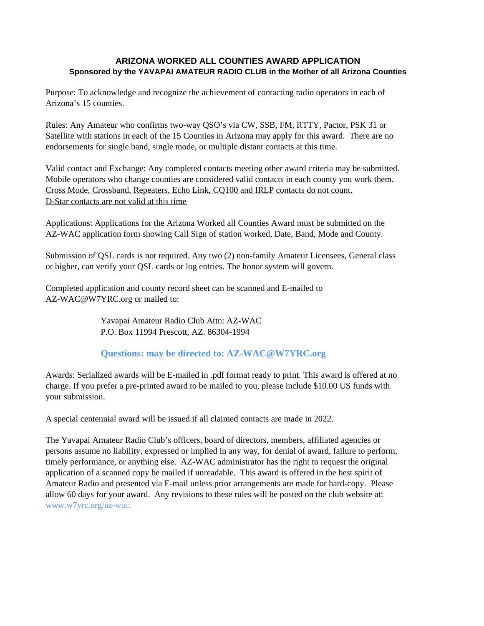## **ARIZONA WORKED ALL COUNTIES AWARD APPLICATION Sponsored by the YAVAPAI AMATEUR RADIO CLUB in the Mother of all Arizona Counties**

Purpose: To acknowledge and recognize the achievement of contacting radio operators in each of Arizona's 15 counties.

Rules: Any Amateur who confirms two-way QSO's via CW, SSB, FM, RTTY, Pactor, PSK 31 or Satellite with stations in each of the 15 Counties in Arizona may apply for this award. There are no endorsements for single band, single mode, or multiple distant contacts at this time.

Valid contact and Exchange: Any completed contacts meeting other award criteria may be submitted. Mobile operators who change counties are considered valid contacts in each county you work them. Cross Mode, Crossband, Repeaters, Echo Link, CQ100 and IRLP contacts do not count. D-Star contacts are not valid at this time

Applications: Applications for the Arizona Worked all Counties Award must be submitted on the AZ-WAC application form showing Call Sign of station worked, Date, Band, Mode and County.

Submission of QSL cards is not required. Any two (2) non-family Amateur Licensees, General class or higher, can verify your QSL cards or log entries. The honor system will govern.

Completed application and county record sheet can be scanned and E-mailed to AZ-WAC@W7YRC.org or mailed to:

> Yavapai Amateur Radio Club Attn: AZ-WAC P.O. Box 11994 Prescott, AZ. 86304-1994

## **[Questions: may be directed to: AZ-WAC@W7YRC.org](mailto:AZ-WAC@W7YRC.org)**

Awards: Serialized awards will be E-mailed in .pdf format ready to print. This award is offered at no charge. If you prefer a pre-printed award to be mailed to you, please include \$10.00 US funds with your submission.

A special centennial award will be issued if all claimed contacts are made in 2022.

The Yavapai Amateur Radio Club's officers, board of directors, members, affiliated agencies or persons assume no liability, expressed or implied in any way, for denial of award, failure to perform, timely performance, or anything else. AZ-WAC administrator has the right to request the original application of a scanned copy be mailed if unreadable. This award is offered in the best spirit of Amateur Radio and presented via E-mail unless prior arrangements are made for hard-copy. Please allow 60 days for your award. Any revisions to these rules will be posted on the club website at: [www.w7yrc.org/az-wac.](http://www.w7yrc.org/az-wac)